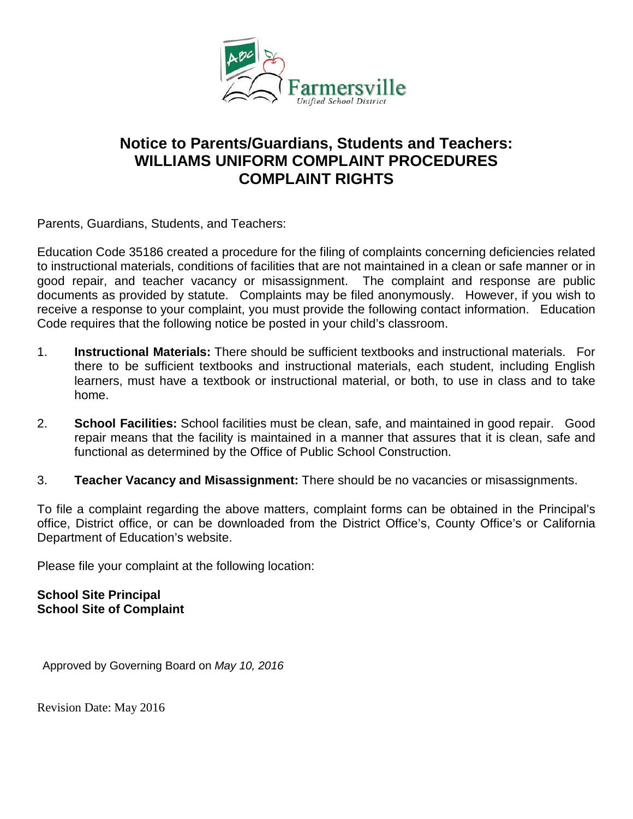

# **Notice to Parents/Guardians, Students and Teachers: WILLIAMS UNIFORM COMPLAINT PROCEDURES COMPLAINT RIGHTS**

Parents, Guardians, Students, and Teachers:

Education Code 35186 created a procedure for the filing of complaints concerning deficiencies related to instructional materials, conditions of facilities that are not maintained in a clean or safe manner or in good repair, and teacher vacancy or misassignment. The complaint and response are public documents as provided by statute. Complaints may be filed anonymously. However, if you wish to receive a response to your complaint, you must provide the following contact information. Education Code requires that the following notice be posted in your child's classroom.

- 1. **Instructional Materials:** There should be sufficient textbooks and instructional materials. For there to be sufficient textbooks and instructional materials, each student, including English learners, must have a textbook or instructional material, or both, to use in class and to take home.
- 2. **School Facilities:** School facilities must be clean, safe, and maintained in good repair. Good repair means that the facility is maintained in a manner that assures that it is clean, safe and functional as determined by the Office of Public School Construction.
- 3. **Teacher Vacancy and Misassignment:** There should be no vacancies or misassignments.

To file a complaint regarding the above matters, complaint forms can be obtained in the Principal's office, District office, or can be downloaded from the District Office's, County Office's or California Department of Education's website.

Please file your complaint at the following location:

### **School Site Principal School Site of Complaint**

Approved by Governing Board on *May 10, 2016* 

Revision Date: May 2016